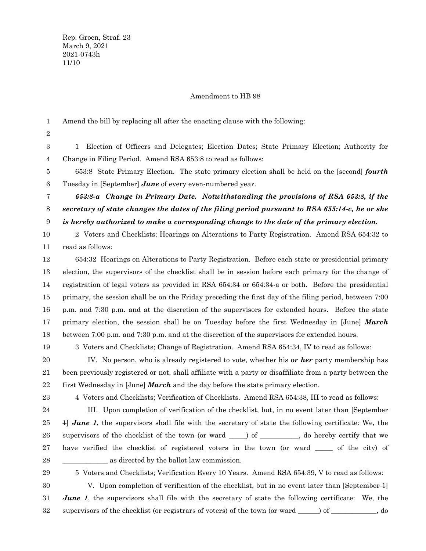### Amendment to HB 98

Amend the bill by replacing all after the enacting clause with the following: 1

2

1 Election of Officers and Delegates; Election Dates; State Primary Election; Authority for Change in Filing Period. Amend RSA 653:8 to read as follows: 3 4

653:8 State Primary Election. The state primary election shall be held on the [second] *fourth* Tuesday in [September] *June* of every even-numbered year. 5 6

*653:8-a Change in Primary Date. Notwithstanding the provisions of RSA 653:8, if the secretary of state changes the dates of the filing period pursuant to RSA 655:14-c, he or she is hereby authorized to make a corresponding change to the date of the primary election.* 7 8 9

2 Voters and Checklists; Hearings on Alterations to Party Registration. Amend RSA 654:32 to read as follows: 10 11

654:32 Hearings on Alterations to Party Registration. Before each state or presidential primary election, the supervisors of the checklist shall be in session before each primary for the change of registration of legal voters as provided in RSA 654:34 or 654:34-a or both. Before the presidential primary, the session shall be on the Friday preceding the first day of the filing period, between 7:00 p.m. and 7:30 p.m. and at the discretion of the supervisors for extended hours. Before the state primary election, the session shall be on Tuesday before the first Wednesday in [June] *March* between 7:00 p.m. and 7:30 p.m. and at the discretion of the supervisors for extended hours. 12 13 14 15 16 17 18

19

3 Voters and Checklists; Change of Registration. Amend RSA 654:34, IV to read as follows:

IV. No person, who is already registered to vote, whether his *or her* party membership has been previously registered or not, shall affiliate with a party or disaffiliate from a party between the first Wednesday in [June] *March* and the day before the state primary election. 20 21 22

23

4 Voters and Checklists; Verification of Checklists. Amend RSA 654:38, III to read as follows:

III. Upon completion of verification of the checklist, but, in no event later than [September 1] *June 1*, the supervisors shall file with the secretary of state the following certificate: We, the supervisors of the checklist of the town (or ward \_\_\_\_) of \_\_\_\_\_\_\_\_, do hereby certify that we have verified the checklist of registered voters in the town (or ward \_\_\_\_\_ of the city) of as directed by the ballot law commission. 24 25 26 27 28

29

5 Voters and Checklists; Verification Every 10 Years. Amend RSA 654:39, V to read as follows:

V. Upon completion of verification of the checklist, but in no event later than [September 1] *June* 1, the supervisors shall file with the secretary of state the following certificate: We, the supervisors of the checklist (or registrars of voters) of the town (or ward \_\_\_\_\_\_) of \_\_\_\_\_\_\_\_\_\_\_\_\_, do 30 31 32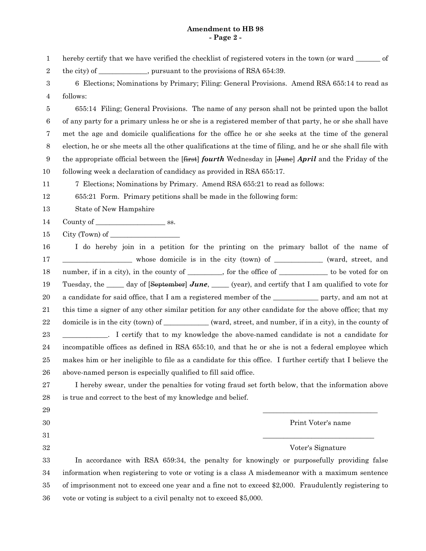### **Amendment to HB 98 - Page 2 -**

- hereby certify that we have verified the checklist of registered voters in the town (or ward \_\_\_\_\_\_ of 1
- the city) of \_\_\_\_\_\_\_\_\_\_, pursuant to the provisions of RSA 654:39. 2
- 6 Elections; Nominations by Primary; Filing: General Provisions. Amend RSA 655:14 to read as follows: 3 4

655:14 Filing; General Provisions. The name of any person shall not be printed upon the ballot of any party for a primary unless he or she is a registered member of that party, he or she shall have met the age and domicile qualifications for the office he or she seeks at the time of the general election, he or she meets all the other qualifications at the time of filing, and he or she shall file with the appropriate official between the [first] *fourth* Wednesday in [June] *April* and the Friday of the following week a declaration of candidacy as provided in RSA 655:17. 5 6 7 8 9 10

7 Elections; Nominations by Primary. Amend RSA 655:21 to read as follows: 11

655:21 Form. Primary petitions shall be made in the following form: 12

State of New Hampshire 13

County of \_\_\_\_\_\_\_\_\_\_\_\_\_\_\_\_\_\_\_\_ ss. 14

 $City$  (Town) of  $\_\_$ 15

I do hereby join in a petition for the printing on the primary ballot of the name of \_\_\_\_\_\_\_\_\_\_\_\_\_\_\_\_\_\_\_\_ whose domicile is in the city (town) of \_\_\_\_\_\_\_\_\_\_\_\_\_\_ (ward, street, and number, if in a city), in the county of \_\_\_\_\_\_\_, for the office of \_\_\_\_\_\_\_\_\_\_\_ to be voted for on Tuesday, the \_\_\_\_\_ day of [September] *June*, \_\_\_\_\_ (year), and certify that I am qualified to vote for a candidate for said office, that I am a registered member of the \_\_\_\_\_\_\_\_\_\_\_\_\_ party, and am not at this time a signer of any other similar petition for any other candidate for the above office; that my domicile is in the city (town) of \_\_\_\_\_\_\_\_\_\_\_\_\_ (ward, street, and number, if in a city), in the county of \_\_\_\_\_\_\_\_\_\_\_\_\_. I certify that to my knowledge the above-named candidate is not a candidate for incompatible offices as defined in RSA 655:10, and that he or she is not a federal employee which makes him or her ineligible to file as a candidate for this office. I further certify that I believe the above-named person is especially qualified to fill said office. 16 17 18 19 20 21 22 23 24 25 26

I hereby swear, under the penalties for voting fraud set forth below, that the information above is true and correct to the best of my knowledge and belief. 27 28

> \_\_\_\_\_\_\_\_\_\_\_\_\_\_\_\_\_\_\_\_\_\_\_\_\_\_\_\_\_\_\_\_\_ Print Voter's name \_\_\_\_\_\_\_\_\_\_\_\_\_\_\_\_\_\_\_\_\_\_\_\_\_\_\_\_\_\_\_\_

31

29 30

32

Voter's Signature

In accordance with RSA 659:34, the penalty for knowingly or purposefully providing false information when registering to vote or voting is a class A misdemeanor with a maximum sentence of imprisonment not to exceed one year and a fine not to exceed \$2,000. Fraudulently registering to vote or voting is subject to a civil penalty not to exceed \$5,000. 33 34 35 36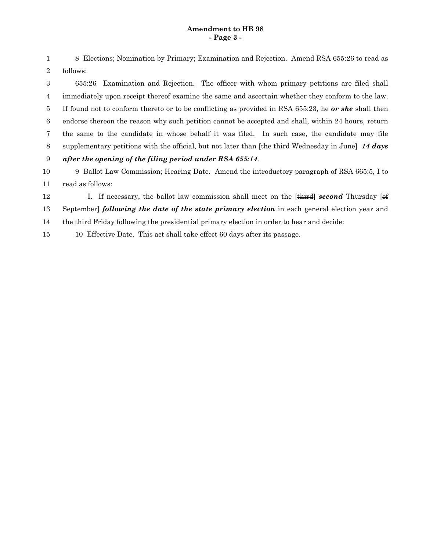## **Amendment to HB 98 - Page 3 -**

8 Elections; Nomination by Primary; Examination and Rejection. Amend RSA 655:26 to read as follows: 1 2

655:26 Examination and Rejection. The officer with whom primary petitions are filed shall immediately upon receipt thereof examine the same and ascertain whether they conform to the law. If found not to conform thereto or to be conflicting as provided in RSA 655:23, he *or she* shall then endorse thereon the reason why such petition cannot be accepted and shall, within 24 hours, return the same to the candidate in whose behalf it was filed. In such case, the candidate may file supplementary petitions with the official, but not later than [the third Wednesday in June] *14 days after the opening of the filing period under RSA 655:14*. 3 4 5 6 7 8 9

9 Ballot Law Commission; Hearing Date. Amend the introductory paragraph of RSA 665:5, I to read as follows: 10 11

I. If necessary, the ballot law commission shall meet on the [third] *second* Thursday [of September] *following the date of the state primary election* in each general election year and 12 13

the third Friday following the presidential primary election in order to hear and decide: 14

10 Effective Date. This act shall take effect 60 days after its passage. 15